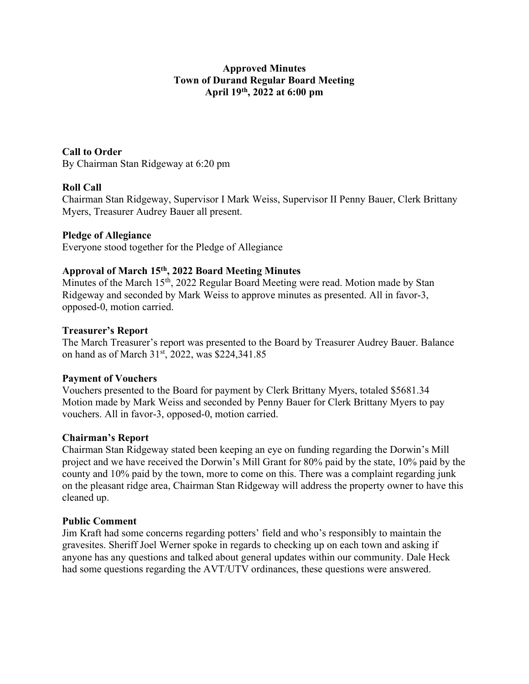### Approved Minutes Town of Durand Regular Board Meeting April 19th, 2022 at 6:00 pm

### Call to Order

By Chairman Stan Ridgeway at 6:20 pm

# Roll Call

Chairman Stan Ridgeway, Supervisor I Mark Weiss, Supervisor II Penny Bauer, Clerk Brittany Myers, Treasurer Audrey Bauer all present.

# Pledge of Allegiance

Everyone stood together for the Pledge of Allegiance

# Approval of March 15th, 2022 Board Meeting Minutes

Minutes of the March 15<sup>th</sup>, 2022 Regular Board Meeting were read. Motion made by Stan Ridgeway and seconded by Mark Weiss to approve minutes as presented. All in favor-3, opposed-0, motion carried.

### Treasurer's Report

The March Treasurer's report was presented to the Board by Treasurer Audrey Bauer. Balance on hand as of March 31<sup>st</sup>, 2022, was \$224,341.85

### Payment of Vouchers

Vouchers presented to the Board for payment by Clerk Brittany Myers, totaled \$5681.34 Motion made by Mark Weiss and seconded by Penny Bauer for Clerk Brittany Myers to pay vouchers. All in favor-3, opposed-0, motion carried.

### Chairman's Report

Chairman Stan Ridgeway stated been keeping an eye on funding regarding the Dorwin's Mill project and we have received the Dorwin's Mill Grant for 80% paid by the state, 10% paid by the county and 10% paid by the town, more to come on this. There was a complaint regarding junk on the pleasant ridge area, Chairman Stan Ridgeway will address the property owner to have this cleaned up.

### Public Comment

Jim Kraft had some concerns regarding potters' field and who's responsibly to maintain the gravesites. Sheriff Joel Werner spoke in regards to checking up on each town and asking if anyone has any questions and talked about general updates within our community. Dale Heck had some questions regarding the AVT/UTV ordinances, these questions were answered.